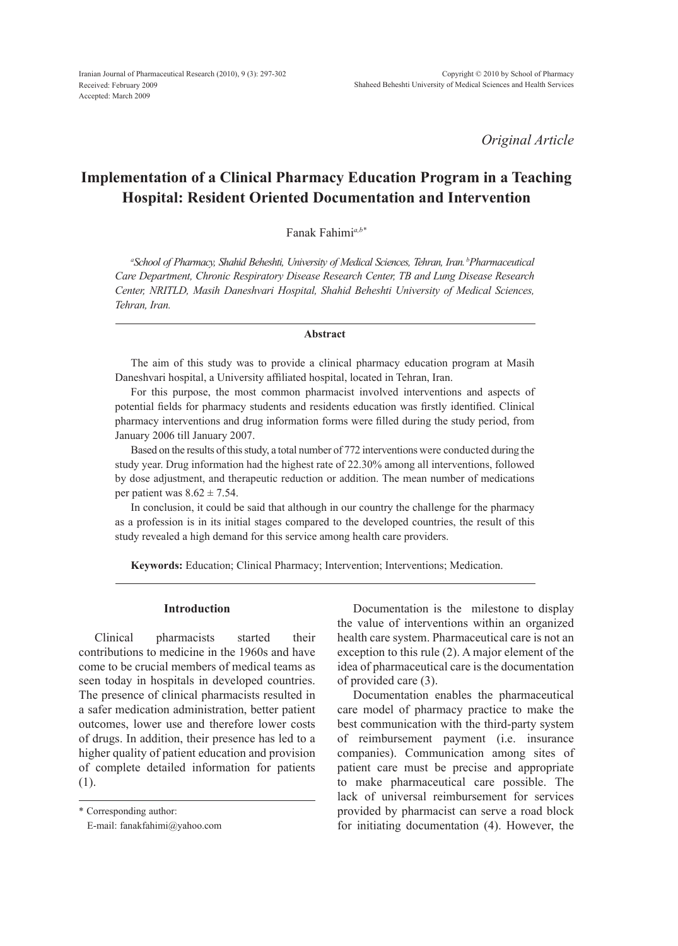*Original Article*

# **Implementation of a Clinical Pharmacy Education Program in a Teaching Hospital: Resident Oriented Documentation and Intervention**

Fanak Fahimi*a,b\**

*a School of Pharmacy, Shahid Beheshti, University of Medical Sciences, Tehran, Iran. bPharmaceutical Care Department, Chronic Respiratory Disease Research Center, TB and Lung Disease Research Center, NRITLD, Masih Daneshvari Hospital, Shahid Beheshti University of Medical Sciences, Tehran, Iran.*

#### **Abstract**

The aim of this study was to provide a clinical pharmacy education program at Masih Daneshvari hospital, a University affiliated hospital, located in Tehran, Iran.

For this purpose, the most common pharmacist involved interventions and aspects of potential fields for pharmacy students and residents education was firstly identified. Clinical pharmacy interventions and drug information forms were filled during the study period, from January 2006 till January 2007.

Based on the results of this study, a total number of 772 interventions were conducted during the study year. Drug information had the highest rate of 22.30% among all interventions, followed by dose adjustment, and therapeutic reduction or addition. The mean number of medications per patient was  $8.62 \pm 7.54$ .

In conclusion, it could be said that although in our country the challenge for the pharmacy as a profession is in its initial stages compared to the developed countries, the result of this study revealed a high demand for this service among health care providers.

**Keywords:** Education; Clinical Pharmacy; Intervention; Interventions; Medication.

# **Introduction**

Clinical pharmacists started their contributions to medicine in the 1960s and have come to be crucial members of medical teams as seen today in hospitals in developed countries. The presence of clinical pharmacists resulted in a safer medication administration, better patient outcomes, lower use and therefore lower costs of drugs. In addition, their presence has led to a higher quality of patient education and provision of complete detailed information for patients (1).

\* Corresponding author:

E-mail: fanakfahimi@yahoo.com

Documentation is the milestone to display the value of interventions within an organized health care system. Pharmaceutical care is not an exception to this rule (2). A major element of the idea of pharmaceutical care is the documentation of provided care (3).

Documentation enables the pharmaceutical care model of pharmacy practice to make the best communication with the third-party system of reimbursement payment (i.e. insurance companies). Communication among sites of patient care must be precise and appropriate to make pharmaceutical care possible. The lack of universal reimbursement for services provided by pharmacist can serve a road block for initiating documentation (4). However, the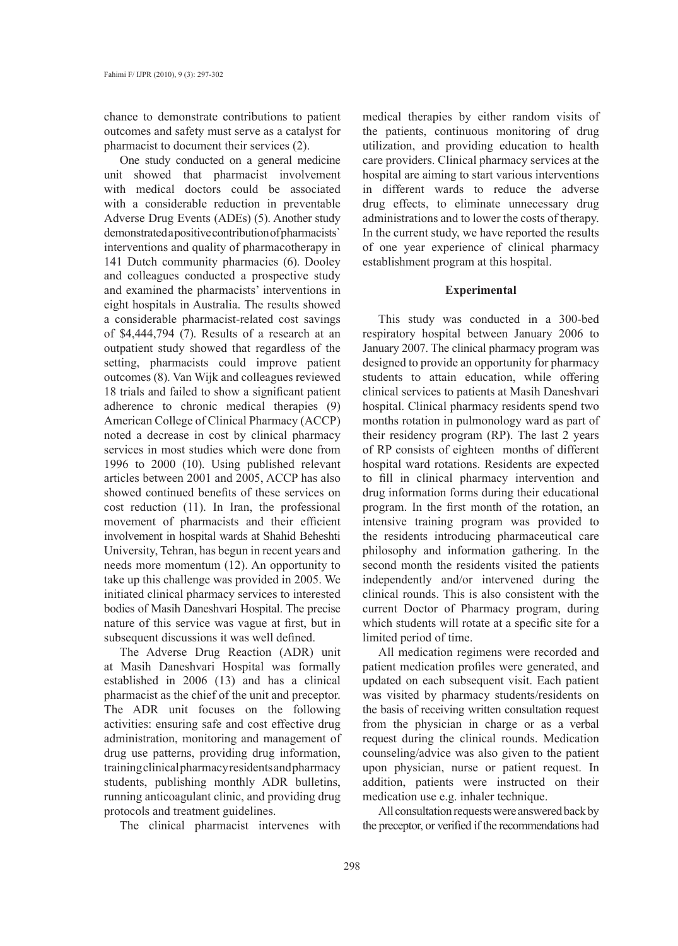chance to demonstrate contributions to patient outcomes and safety must serve as a catalyst for pharmacist to document their services (2).

One study conducted on a general medicine unit showed that pharmacist involvement with medical doctors could be associated with a considerable reduction in preventable Adverse Drug Events (ADEs) (5). Another study demonstrated a positive contribution of pharmacists` interventions and quality of pharmacotherapy in 141 Dutch community pharmacies (6). Dooley and colleagues conducted a prospective study and examined the pharmacists' interventions in eight hospitals in Australia. The results showed a considerable pharmacist-related cost savings of \$4,444,794 (7). Results of a research at an outpatient study showed that regardless of the setting, pharmacists could improve patient outcomes (8). Van Wijk and colleagues reviewed 18 trials and failed to show a significant patient adherence to chronic medical therapies (9) American College of Clinical Pharmacy (ACCP) noted a decrease in cost by clinical pharmacy services in most studies which were done from 1996 to 2000 (10). Using published relevant articles between 2001 and 2005, ACCP has also showed continued benefits of these services on cost reduction (11). In Iran, the professional movement of pharmacists and their efficient involvement in hospital wards at Shahid Beheshti University, Tehran, has begun in recent years and needs more momentum (12). An opportunity to take up this challenge was provided in 2005. We initiated clinical pharmacy services to interested bodies of Masih Daneshvari Hospital. The precise nature of this service was vague at first, but in subsequent discussions it was well defined.

The Adverse Drug Reaction (ADR) unit at Masih Daneshvari Hospital was formally established in 2006 (13) and has a clinical pharmacist as the chief of the unit and preceptor. The ADR unit focuses on the following activities: ensuring safe and cost effective drug administration, monitoring and management of drug use patterns, providing drug information, training clinical pharmacy residents and pharmacy students, publishing monthly ADR bulletins, running anticoagulant clinic, and providing drug protocols and treatment guidelines.

The clinical pharmacist intervenes with

medical therapies by either random visits of the patients, continuous monitoring of drug utilization, and providing education to health care providers. Clinical pharmacy services at the hospital are aiming to start various interventions in different wards to reduce the adverse drug effects, to eliminate unnecessary drug administrations and to lower the costs of therapy. In the current study, we have reported the results of one year experience of clinical pharmacy establishment program at this hospital.

# **Experimental**

This study was conducted in a 300-bed respiratory hospital between January 2006 to January 2007. The clinical pharmacy program was designed to provide an opportunity for pharmacy students to attain education, while offering clinical services to patients at Masih Daneshvari hospital. Clinical pharmacy residents spend two months rotation in pulmonology ward as part of their residency program (RP). The last 2 years of RP consists of eighteen months of different hospital ward rotations. Residents are expected to fill in clinical pharmacy intervention and drug information forms during their educational program. In the first month of the rotation, an intensive training program was provided to the residents introducing pharmaceutical care philosophy and information gathering. In the second month the residents visited the patients independently and/or intervened during the clinical rounds. This is also consistent with the current Doctor of Pharmacy program, during which students will rotate at a specific site for a limited period of time.

All medication regimens were recorded and patient medication profiles were generated, and updated on each subsequent visit. Each patient was visited by pharmacy students/residents on the basis of receiving written consultation request from the physician in charge or as a verbal request during the clinical rounds. Medication counseling/advice was also given to the patient upon physician, nurse or patient request. In addition, patients were instructed on their medication use e.g. inhaler technique.

All consultation requests were answered back by the preceptor, or verified if the recommendations had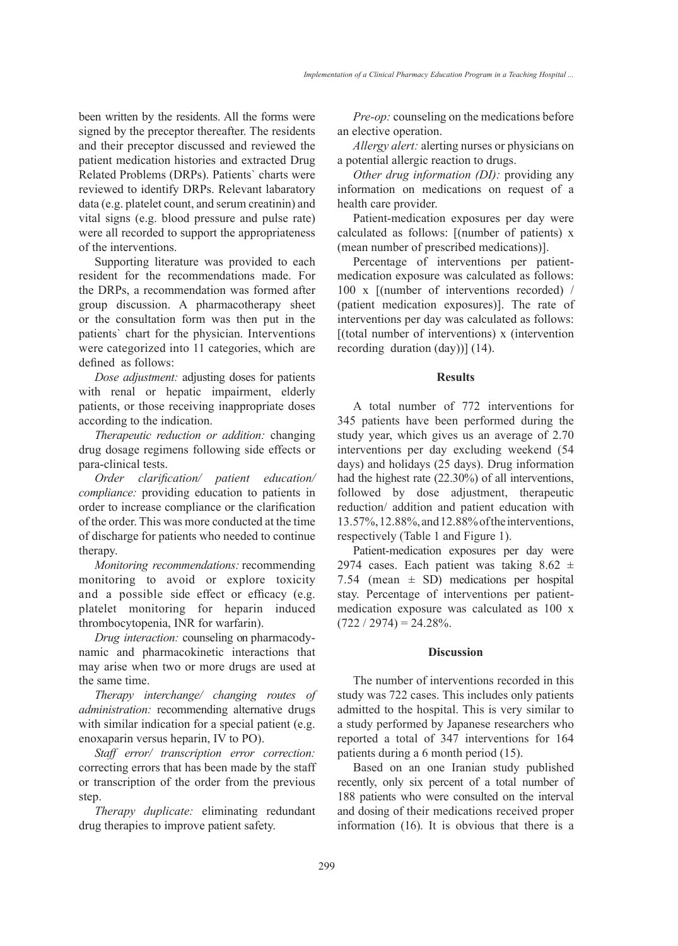been written by the residents. All the forms were signed by the preceptor thereafter. The residents and their preceptor discussed and reviewed the patient medication histories and extracted Drug Related Problems (DRPs). Patients` charts were reviewed to identify DRPs. Relevant labaratory data (e.g. platelet count, and serum creatinin) and vital signs (e.g. blood pressure and pulse rate) were all recorded to support the appropriateness of the interventions.

Supporting literature was provided to each resident for the recommendations made. For the DRPs, a recommendation was formed after group discussion. A pharmacotherapy sheet or the consultation form was then put in the patients` chart for the physician. Interventions were categorized into 11 categories, which are defined as follows:

*Dose adjustment:* adjusting doses for patients with renal or hepatic impairment, elderly patients, or those receiving inappropriate doses according to the indication.

*Therapeutic reduction or addition:* changing drug dosage regimens following side effects or para-clinical tests.

*Order clarification/ patient education/ compliance:* providing education to patients in order to increase compliance or the clarification of the order. This was more conducted at the time of discharge for patients who needed to continue therapy.

*Monitoring recommendations:* recommending monitoring to avoid or explore toxicity and a possible side effect or efficacy (e.g. platelet monitoring for heparin induced thrombocytopenia, INR for warfarin).

*Drug interaction:* counseling on pharmacodynamic and pharmacokinetic interactions that may arise when two or more drugs are used at the same time.

*Therapy interchange/ changing routes of administration:* recommending alternative drugs with similar indication for a special patient (e.g. enoxaparin versus heparin, IV to PO).

*Staff error/ transcription error correction:*  correcting errors that has been made by the staff or transcription of the order from the previous step.

*Therapy duplicate:* eliminating redundant drug therapies to improve patient safety.

*Pre-op:* counseling on the medications before an elective operation.

*Allergy alert:* alerting nurses or physicians on a potential allergic reaction to drugs.

*Other drug information (DI):* providing any information on medications on request of a health care provider.

Patient-medication exposures per day were calculated as follows: [(number of patients) x (mean number of prescribed medications)].

Percentage of interventions per patientmedication exposure was calculated as follows: 100 x [(number of interventions recorded) / (patient medication exposures)]. The rate of interventions per day was calculated as follows: [(total number of interventions) x (intervention recording duration (day))] (14).

# **Results**

A total number of 772 interventions for 345 patients have been performed during the study year, which gives us an average of 2.70 interventions per day excluding weekend (54 days) and holidays (25 days). Drug information had the highest rate (22.30%) of all interventions, followed by dose adjustment, therapeutic reduction/ addition and patient education with 13.57%, 12.88%, and 12.88% of the interventions, respectively (Table 1 and Figure 1).

Patient-medication exposures per day were 2974 cases. Each patient was taking  $8.62 \pm$ 7.54 (mean  $\pm$  SD) medications per hospital stay. Percentage of interventions per patientmedication exposure was calculated as 100 x  $(722 / 2974) = 24.28\%$ .

## **Discussion**

The number of interventions recorded in this study was 722 cases. This includes only patients admitted to the hospital. This is very similar to a study performed by Japanese researchers who reported a total of 347 interventions for 164 patients during a 6 month period (15).

Based on an one Iranian study published recently, only six percent of a total number of 188 patients who were consulted on the interval and dosing of their medications received proper information (16). It is obvious that there is a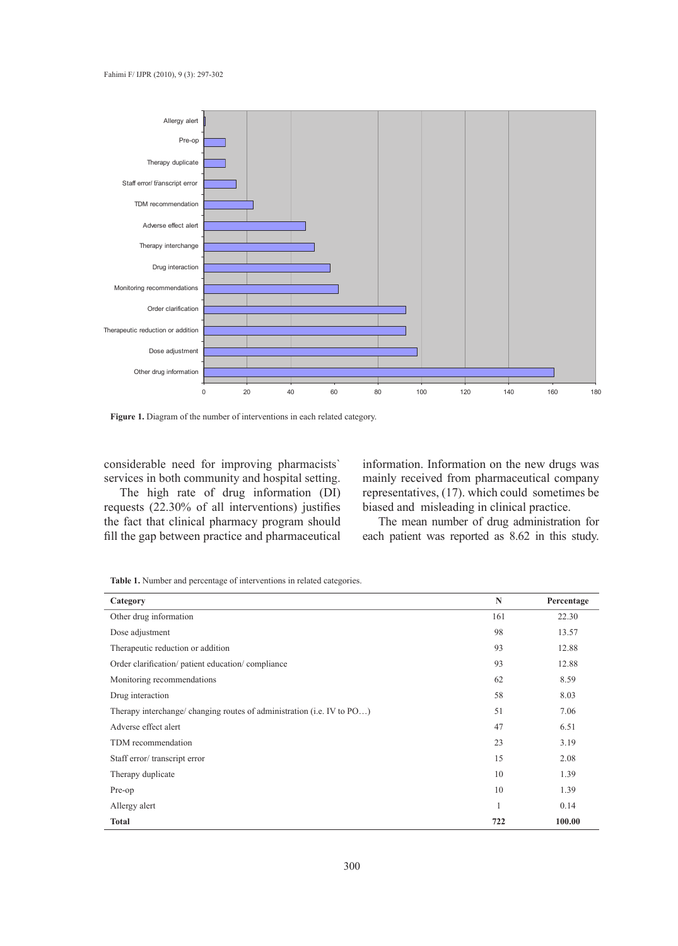

Figure 1. Diagram of the number of interventions in each related category.

considerable need for improving pharmacists' information. Information on the new drugs services in both community and hospital setting.

The high rate of drug information (DI) requests (22.30% of all interventions) justifies the fact that clinical pharmacy program should fill the gap between practice and pharmaceutical

information. Information on the new drugs was mainly received from pharmaceutical company representatives, (17). which could sometimes be biased and misleading in clinical practice.

The mean number of drug administration for each patient was reported as 8.62 in this study.

**Table 1.** Number and percentage of interventions in related categories.

| Category                                                               | N            | Percentage |
|------------------------------------------------------------------------|--------------|------------|
| Other drug information                                                 | 161          | 22.30      |
| Dose adjustment                                                        | 98           | 13.57      |
| Therapeutic reduction or addition                                      | 93           | 12.88      |
| Order clarification/ patient education/ compliance                     | 93           | 12.88      |
| Monitoring recommendations                                             | 62           | 8.59       |
| Drug interaction                                                       | 58           | 8.03       |
| Therapy interchange/ changing routes of administration (i.e. IV to PO) | 51           | 7.06       |
| Adverse effect alert                                                   | 47           | 6.51       |
| TDM recommendation                                                     | 23           | 3.19       |
| Staff error/transcript error                                           | 15           | 2.08       |
| Therapy duplicate                                                      | 10           | 1.39       |
| Pre-op                                                                 | 10           | 1.39       |
| Allergy alert                                                          | $\mathbf{1}$ | 0.14       |
| <b>Total</b>                                                           | 722          | 100.00     |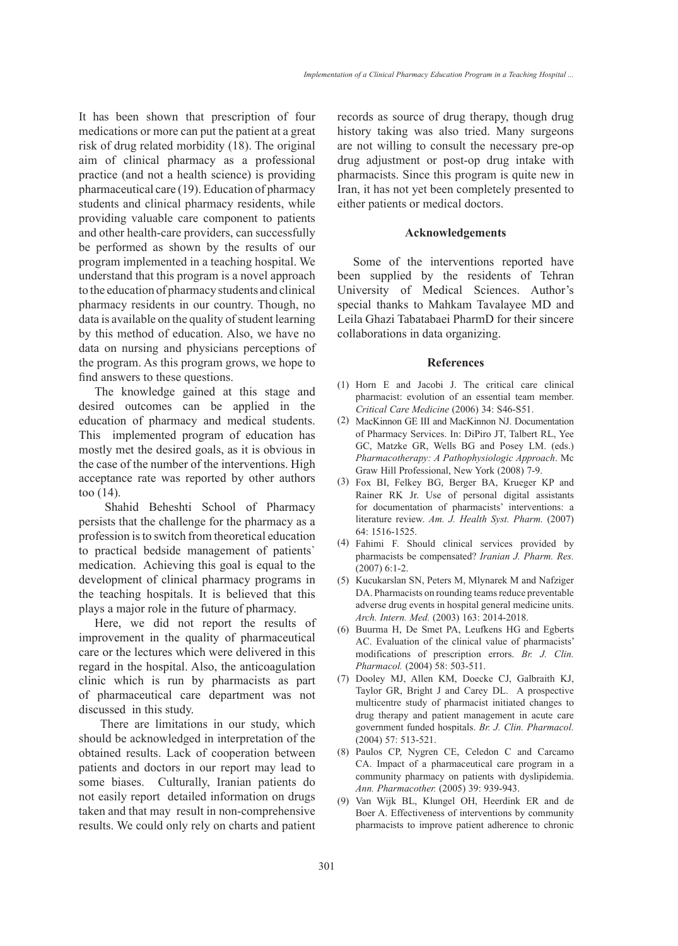It has been shown that prescription of four medications or more can put the patient at a great risk of drug related morbidity (18). The original aim of clinical pharmacy as a professional practice (and not a health science) is providing pharmaceutical care (19). Education of pharmacy students and clinical pharmacy residents, while providing valuable care component to patients and other health-care providers, can successfully be performed as shown by the results of our program implemented in a teaching hospital. We understand that this program is a novel approach to the education of pharmacy students and clinical pharmacy residents in our country. Though, no data is available on the quality of student learning by this method of education. Also, we have no data on nursing and physicians perceptions of the program. As this program grows, we hope to find answers to these questions.

The knowledge gained at this stage and desired outcomes can be applied in the education of pharmacy and medical students. This implemented program of education has mostly met the desired goals, as it is obvious in the case of the number of the interventions. High acceptance rate was reported by other authors too (14).

 Shahid Beheshti School of Pharmacy persists that the challenge for the pharmacy as a profession is to switch from theoretical education to practical bedside management of patients` medication. Achieving this goal is equal to the development of clinical pharmacy programs in the teaching hospitals. It is believed that this plays a major role in the future of pharmacy.

Here, we did not report the results of improvement in the quality of pharmaceutical care or the lectures which were delivered in this regard in the hospital. Also, the anticoagulation clinic which is run by pharmacists as part of pharmaceutical care department was not discussed in this study.

 There are limitations in our study, which should be acknowledged in interpretation of the obtained results. Lack of cooperation between patients and doctors in our report may lead to some biases. Culturally, Iranian patients do not easily report detailed information on drugs taken and that may result in non-comprehensive results. We could only rely on charts and patient records as source of drug therapy, though drug history taking was also tried. Many surgeons are not willing to consult the necessary pre-op drug adjustment or post-op drug intake with pharmacists. Since this program is quite new in Iran, it has not yet been completely presented to either patients or medical doctors.

## **Acknowledgements**

Some of the interventions reported have been supplied by the residents of Tehran University of Medical Sciences. Author's special thanks to Mahkam Tavalayee MD and Leila Ghazi Tabatabaei PharmD for their sincere collaborations in data organizing.

## **References**

- (1) Horn E and Jacobi J. The critical care clinical pharmacist: evolution of an essential team member. *Critical Care Medicine* (2006) 34: S46-S51.
- (2) MacKinnon GE III and MacKinnon NJ. Documentation of Pharmacy Services. In: DiPiro JT, Talbert RL, Yee GC, Matzke GR, Wells BG and Posey LM. (eds.) *Pharmacotherapy: A Pathophysiologic Approach*. Mc Graw Hill Professional, New York (2008) 7-9.
- (3) Fox BI, Felkey BG, Berger BA, Krueger KP and Rainer RK Jr. Use of personal digital assistants for documentation of pharmacists' interventions: a literature review. *Am. J. Health Syst. Pharm.* (2007) 64: 1516-1525.
- (4) Fahimi F. Should clinical services provided by pharmacists be compensated? *Iranian J. Pharm. Res.* (2007) 6:1-2.
- (5) Kucukarslan SN, Peters M, Mlynarek M and Nafziger DA. Pharmacists on rounding teams reduce preventable adverse drug events in hospital general medicine units. *Arch. Intern. Med.* (2003) 163: 2014-2018.
- (6) Buurma H, De Smet PA, Leufkens HG and Egberts AC. Evaluation of the clinical value of pharmacists' modifications of prescription errors. *Br. J. Clin. Pharmacol.* (2004) 58: 503-511.
- (7) Dooley MJ, Allen KM, Doecke CJ, Galbraith KJ, Taylor GR, Bright J and Carey DL. A prospective multicentre study of pharmacist initiated changes to drug therapy and patient management in acute care government funded hospitals. *Br. J. Clin. Pharmacol.* (2004) 57: 513-521.
- (8) Paulos CP, Nygren CE, Celedon C and Carcamo CA. Impact of a pharmaceutical care program in a community pharmacy on patients with dyslipidemia. *Ann. Pharmacother.* (2005) 39: 939-943.
- (9) Van Wijk BL, Klungel OH, Heerdink ER and de Boer A. Effectiveness of interventions by community pharmacists to improve patient adherence to chronic